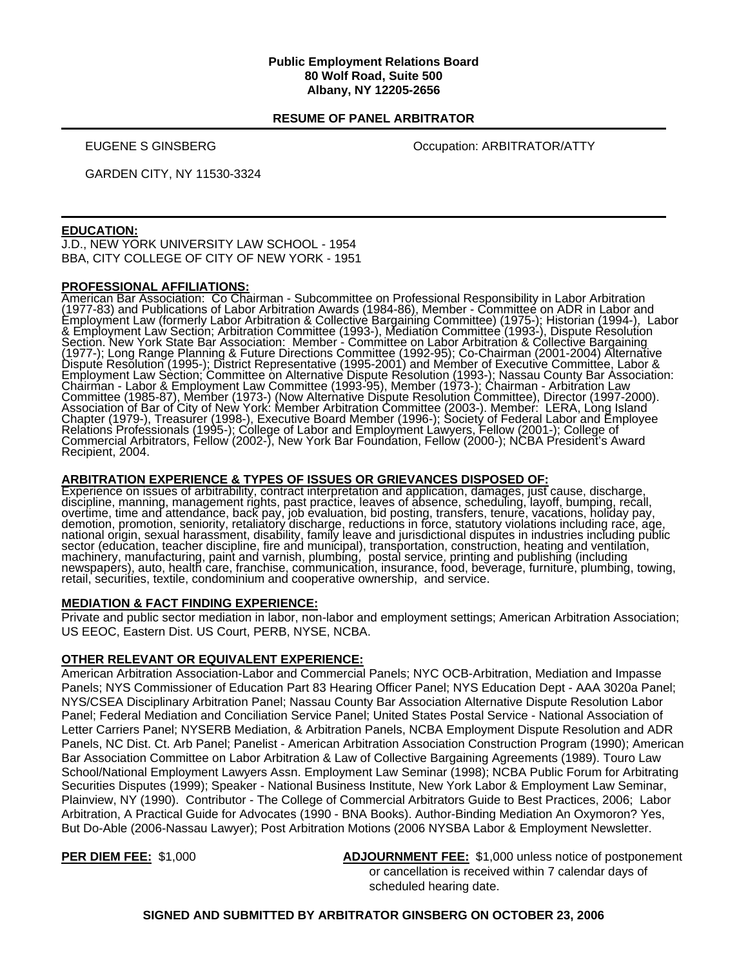#### **Public Employment Relations Board 80 Wolf Road, Suite 500 Albany, NY 12205-2656**

#### **RESUME OF PANEL ARBITRATOR**

EUGENE S GINSBERG **COMPANY** Occupation: ARBITRATOR/ATTY

GARDEN CITY, NY 11530-3324

### **EDUCATION:**

J.D., NEW YORK UNIVERSITY LAW SCHOOL - 1954 BBA, CITY COLLEGE OF CITY OF NEW YORK - 1951

### **PROFESSIONAL AFFILIATIONS:**

American Bar Association: Co Chairman - Subcommittee on Professional Responsibility in Labor Arbitration<br>(1977-83) and Publications of Labor Arbitration Awards (1984-86), Member - Committee on ADR in Labor and Employment Law (formerly Labor Arbitration & Collective Bargaining Committee) (1975-); Historian (1994-), Labor<br>& Employment Law Section; Arbitration Committee (1993-), Mediation Committee (1993-), Dispute Resolution<br>Secti Dispute Resolution (1995-); District Representative (1995-2001) and Member of Executive Committee, Labor & Employment Law Sèction; Committee on Alternative Dispute Résolution (1993-); Nassau County Bar Ássociation:<br>Chairman - Labor & Employment Law Committee (1993-95), Member (1973-); Chairman - Arbitration Law<br>Committee (1985-

## **ARBITRATION EXPERIENCE & TYPES OF ISSUES OR GRIEVANCES DISPOSED OF:**

**Experience on issues of arbitrability, contract interpretation and application, damages, just cause, discharge, discharge, discription and application, bid posting, transfers, tenure, vacations, holiday pay, overtime, tim** retail, securities, textile, condominium and cooperative ownership, and service.

### **MEDIATION & FACT FINDING EXPERIENCE:**

Private and public sector mediation in labor, non-labor and employment settings; American Arbitration Association; US EEOC, Eastern Dist. US Court, PERB, NYSE, NCBA.

### **OTHER RELEVANT OR EQUIVALENT EXPERIENCE:**

American Arbitration Association-Labor and Commercial Panels; NYC OCB-Arbitration, Mediation and Impasse Panels; NYS Commissioner of Education Part 83 Hearing Officer Panel; NYS Education Dept - AAA 3020a Panel; NYS/CSEA Disciplinary Arbitration Panel; Nassau County Bar Association Alternative Dispute Resolution Labor Panel; Federal Mediation and Conciliation Service Panel; United States Postal Service - National Association of Letter Carriers Panel; NYSERB Mediation, & Arbitration Panels, NCBA Employment Dispute Resolution and ADR Panels, NC Dist. Ct. Arb Panel; Panelist - American Arbitration Association Construction Program (1990); American Bar Association Committee on Labor Arbitration & Law of Collective Bargaining Agreements (1989). Touro Law School/National Employment Lawyers Assn. Employment Law Seminar (1998); NCBA Public Forum for Arbitrating Securities Disputes (1999); Speaker - National Business Institute, New York Labor & Employment Law Seminar, Plainview, NY (1990). Contributor - The College of Commercial Arbitrators Guide to Best Practices, 2006; Labor Arbitration, A Practical Guide for Advocates (1990 - BNA Books). Author-Binding Mediation An Oxymoron? Yes, But Do-Able (2006-Nassau Lawyer); Post Arbitration Motions (2006 NYSBA Labor & Employment Newsletter.

**PER DIEM FEE:** \$1,000 **ADJOURNMENT FEE:** \$1,000 unless notice of postponement or cancellation is received within 7 calendar days of scheduled hearing date.

**SIGNED AND SUBMITTED BY ARBITRATOR GINSBERG ON OCTOBER 23, 2006**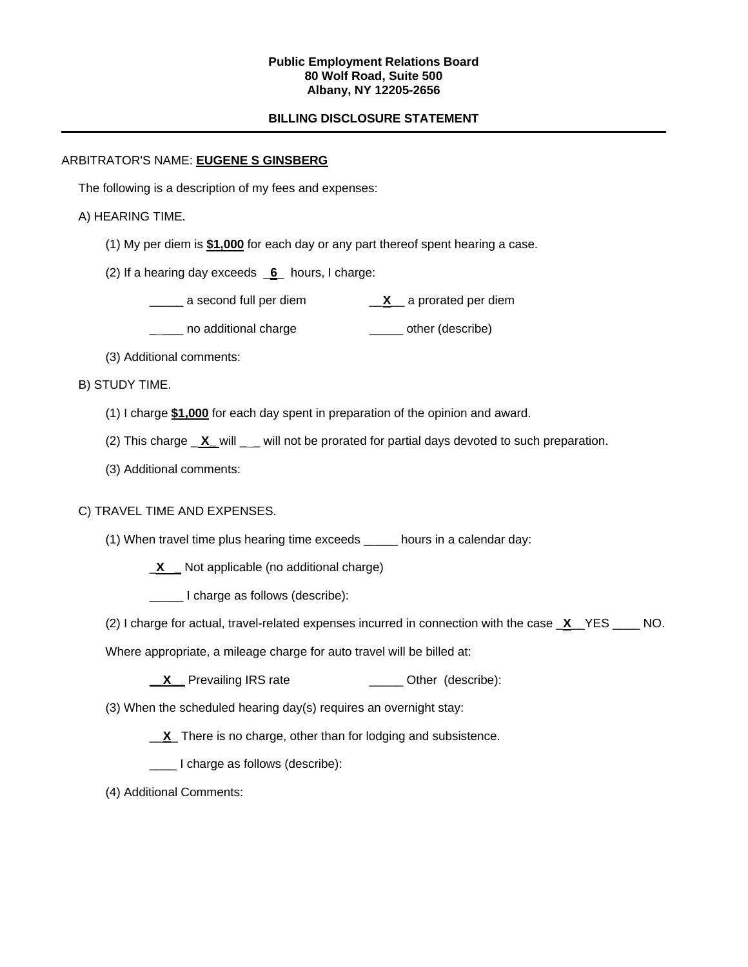#### **Public Employment Relations Board 80 Wolf Road, Suite 500 Albany, NY 12205-2656**

## **BILLING DISCLOSURE STATEMENT**

## ARBITRATOR'S NAME: **EUGENE S GINSBERG**

The following is a description of my fees and expenses:

## A) HEARING TIME.

(1) My per diem is **\$1,000** for each day or any part thereof spent hearing a case.

(2) If a hearing day exceeds \_**6**\_ hours, I charge:

- \_\_\_\_\_ a second full per diem \_\_**X**\_\_ a prorated per diem
- \_\_\_\_ no additional charge \_\_\_\_\_\_\_ other (describe)
- (3) Additional comments:

## B) STUDY TIME.

- (1) I charge **\$1,000** for each day spent in preparation of the opinion and award.
- (2) This charge **X** will will not be prorated for partial days devoted to such preparation.
- (3) Additional comments:

# C) TRAVEL TIME AND EXPENSES.

- (1) When travel time plus hearing time exceeds \_\_\_\_\_ hours in a calendar day:
	- \_**X \_** Not applicable (no additional charge)
	- \_\_\_\_\_ I charge as follows (describe):
- (2) I charge for actual, travel-related expenses incurred in connection with the case \_**X**\_\_YES \_\_\_\_ NO.
- Where appropriate, a mileage charge for auto travel will be billed at:
	- **X** Prevailing IRS rate **Discussed Containst Prevailing IRS** rate
- (3) When the scheduled hearing day(s) requires an overnight stay:
	- \_\_**X**\_ There is no charge, other than for lodging and subsistence.
	- \_\_\_\_ I charge as follows (describe):
- (4) Additional Comments: